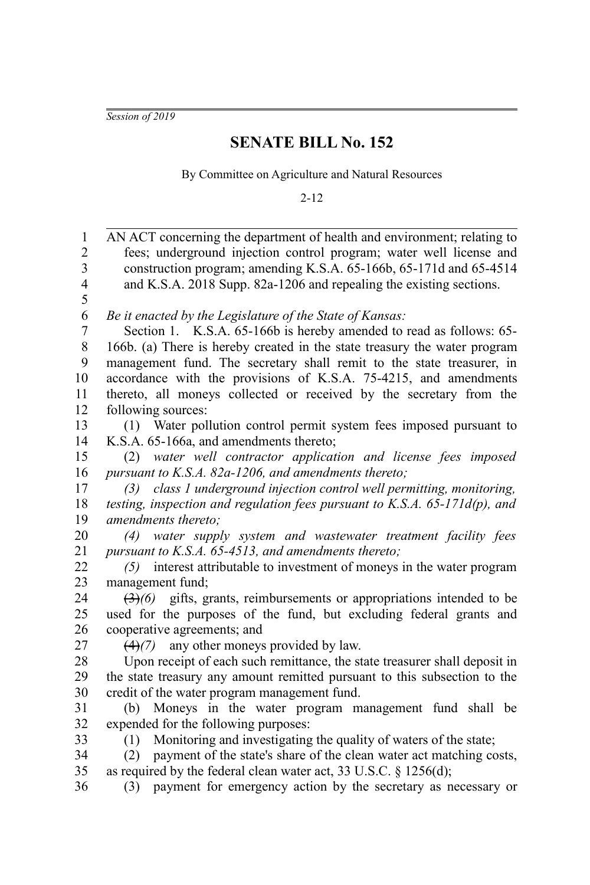*Session of 2019*

## **SENATE BILL No. 152**

By Committee on Agriculture and Natural Resources

2-12

| $\,1$                   | AN ACT concerning the department of health and environment; relating to                    |
|-------------------------|--------------------------------------------------------------------------------------------|
| $\overline{2}$          | fees; underground injection control program; water well license and                        |
| $\overline{\mathbf{3}}$ | construction program; amending K.S.A. 65-166b, 65-171d and 65-4514                         |
| $\overline{4}$          | and K.S.A. 2018 Supp. 82a-1206 and repealing the existing sections.                        |
| 5                       |                                                                                            |
| 6                       | Be it enacted by the Legislature of the State of Kansas:                                   |
| 7                       | Section 1. K.S.A. 65-166b is hereby amended to read as follows: 65-                        |
| $8\,$                   | 166b. (a) There is hereby created in the state treasury the water program                  |
| 9                       | management fund. The secretary shall remit to the state treasurer, in                      |
| 10                      | accordance with the provisions of K.S.A. 75-4215, and amendments                           |
| 11                      | thereto, all moneys collected or received by the secretary from the                        |
| 12                      | following sources:                                                                         |
| 13                      | Water pollution control permit system fees imposed pursuant to<br>(1)                      |
| 14                      | K.S.A. 65-166a, and amendments thereto;                                                    |
| 15                      | water well contractor application and license fees imposed<br>(2)                          |
| 16                      | pursuant to K.S.A. 82a-1206, and amendments thereto;                                       |
| 17                      | class 1 underground injection control well permitting, monitoring,<br>(3)                  |
| 18                      | testing, inspection and regulation fees pursuant to K.S.A. $65$ -171 $d(p)$ , and          |
| 19                      | amendments thereto;                                                                        |
| 20                      | water supply system and wastewater treatment facility fees<br>(4)                          |
| 21                      | pursuant to K.S.A. 65-4513, and amendments thereto;                                        |
| 22                      | interest attributable to investment of moneys in the water program<br>(5)                  |
| 23                      | management fund;                                                                           |
| 24                      | $\left(\frac{3}{2}\right)$ equals, grants, reimbursements or appropriations intended to be |
| 25                      | used for the purposes of the fund, but excluding federal grants and                        |
| 26                      | cooperative agreements; and                                                                |
| 27                      | $(4)(7)$ any other moneys provided by law.                                                 |
| 28                      | Upon receipt of each such remittance, the state treasurer shall deposit in                 |
| 29                      | the state treasury any amount remitted pursuant to this subsection to the                  |
| 30                      | credit of the water program management fund.                                               |
| 31                      | (b) Moneys in the water program management fund shall be                                   |
| 32                      | expended for the following purposes:                                                       |
| 33                      | Monitoring and investigating the quality of waters of the state;<br>(1)                    |
| 34                      | payment of the state's share of the clean water act matching costs,<br>(2)                 |
| 35                      | as required by the federal clean water act, 33 U.S.C. § 1256(d);                           |
| 36                      | payment for emergency action by the secretary as necessary or<br>(3)                       |
|                         |                                                                                            |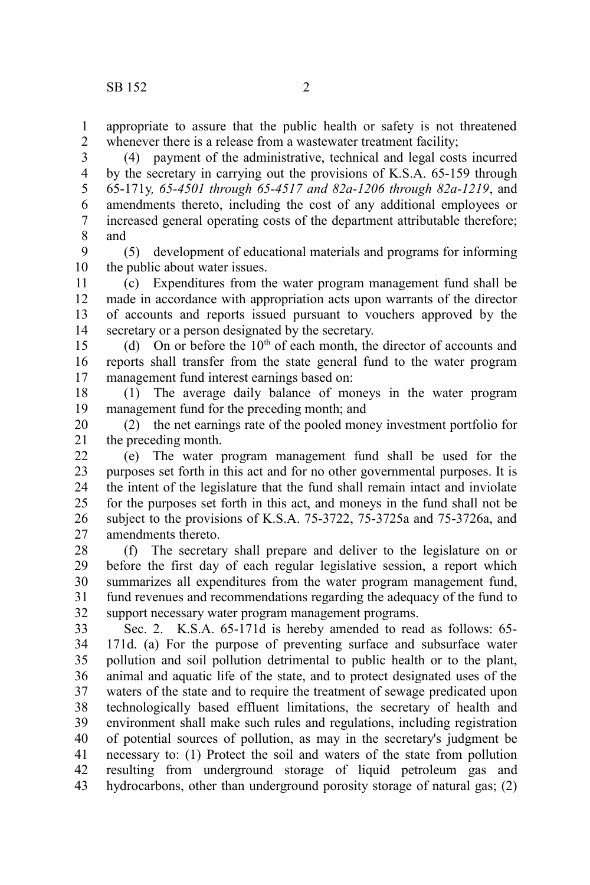appropriate to assure that the public health or safety is not threatened whenever there is a release from a wastewater treatment facility; 1 2

(4) payment of the administrative, technical and legal costs incurred by the secretary in carrying out the provisions of K.S.A. 65-159 through 65-171y*, 65-4501 through 65-4517 and 82a-1206 through 82a-1219*, and amendments thereto, including the cost of any additional employees or increased general operating costs of the department attributable therefore; and 3 4 5 6 7 8

(5) development of educational materials and programs for informing the public about water issues. 9 10

(c) Expenditures from the water program management fund shall be made in accordance with appropriation acts upon warrants of the director of accounts and reports issued pursuant to vouchers approved by the secretary or a person designated by the secretary. 11 12 13 14

(d) On or before the  $10<sup>th</sup>$  of each month, the director of accounts and reports shall transfer from the state general fund to the water program management fund interest earnings based on: 15 16 17

(1) The average daily balance of moneys in the water program management fund for the preceding month; and 18 19

(2) the net earnings rate of the pooled money investment portfolio for the preceding month. 20 21

(e) The water program management fund shall be used for the purposes set forth in this act and for no other governmental purposes. It is the intent of the legislature that the fund shall remain intact and inviolate for the purposes set forth in this act, and moneys in the fund shall not be subject to the provisions of K.S.A. 75-3722, 75-3725a and 75-3726a, and amendments thereto. 22 23 24 25 26 27

(f) The secretary shall prepare and deliver to the legislature on or before the first day of each regular legislative session, a report which summarizes all expenditures from the water program management fund, fund revenues and recommendations regarding the adequacy of the fund to support necessary water program management programs. 28 29 30 31 32

Sec. 2. K.S.A. 65-171d is hereby amended to read as follows: 65-171d. (a) For the purpose of preventing surface and subsurface water pollution and soil pollution detrimental to public health or to the plant, animal and aquatic life of the state, and to protect designated uses of the waters of the state and to require the treatment of sewage predicated upon technologically based effluent limitations, the secretary of health and environment shall make such rules and regulations, including registration of potential sources of pollution, as may in the secretary's judgment be necessary to: (1) Protect the soil and waters of the state from pollution resulting from underground storage of liquid petroleum gas and hydrocarbons, other than underground porosity storage of natural gas; (2) 33 34 35 36 37 38 39 40 41 42 43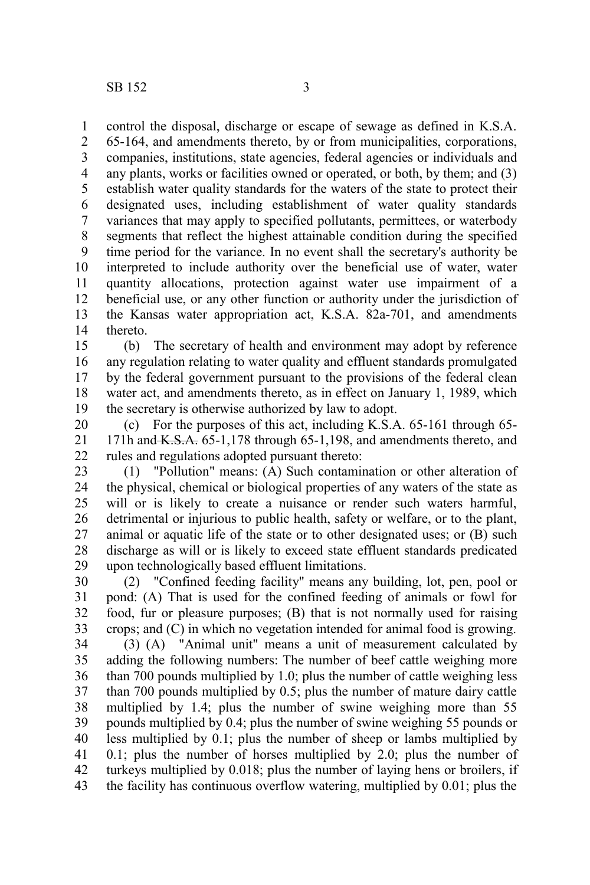control the disposal, discharge or escape of sewage as defined in K.S.A. 1

65-164, and amendments thereto, by or from municipalities, corporations, companies, institutions, state agencies, federal agencies or individuals and any plants, works or facilities owned or operated, or both, by them; and (3) establish water quality standards for the waters of the state to protect their designated uses, including establishment of water quality standards variances that may apply to specified pollutants, permittees, or waterbody segments that reflect the highest attainable condition during the specified time period for the variance. In no event shall the secretary's authority be interpreted to include authority over the beneficial use of water, water quantity allocations, protection against water use impairment of a beneficial use, or any other function or authority under the jurisdiction of the Kansas water appropriation act, K.S.A. 82a-701, and amendments thereto. 2 3 4 5 6 7 8 9 10 11 12 13 14

(b) The secretary of health and environment may adopt by reference any regulation relating to water quality and effluent standards promulgated by the federal government pursuant to the provisions of the federal clean water act, and amendments thereto, as in effect on January 1, 1989, which the secretary is otherwise authorized by law to adopt. 15 16 17 18 19

(c) For the purposes of this act, including K.S.A. 65-161 through 65- 171h and  $K.S.A.$  65-1,178 through 65-1,198, and amendments thereto, and rules and regulations adopted pursuant thereto: 20 21 22

(1) "Pollution" means: (A) Such contamination or other alteration of the physical, chemical or biological properties of any waters of the state as will or is likely to create a nuisance or render such waters harmful, detrimental or injurious to public health, safety or welfare, or to the plant, animal or aquatic life of the state or to other designated uses; or (B) such discharge as will or is likely to exceed state effluent standards predicated upon technologically based effluent limitations. 23 24 25 26 27 28 29

(2) "Confined feeding facility" means any building, lot, pen, pool or pond: (A) That is used for the confined feeding of animals or fowl for food, fur or pleasure purposes; (B) that is not normally used for raising crops; and (C) in which no vegetation intended for animal food is growing. 30 31 32 33

(3) (A) "Animal unit" means a unit of measurement calculated by adding the following numbers: The number of beef cattle weighing more than 700 pounds multiplied by 1.0; plus the number of cattle weighing less than 700 pounds multiplied by 0.5; plus the number of mature dairy cattle multiplied by 1.4; plus the number of swine weighing more than 55 pounds multiplied by 0.4; plus the number of swine weighing 55 pounds or less multiplied by 0.1; plus the number of sheep or lambs multiplied by 0.1; plus the number of horses multiplied by 2.0; plus the number of turkeys multiplied by 0.018; plus the number of laying hens or broilers, if the facility has continuous overflow watering, multiplied by 0.01; plus the 34 35 36 37 38 39 40 41 42 43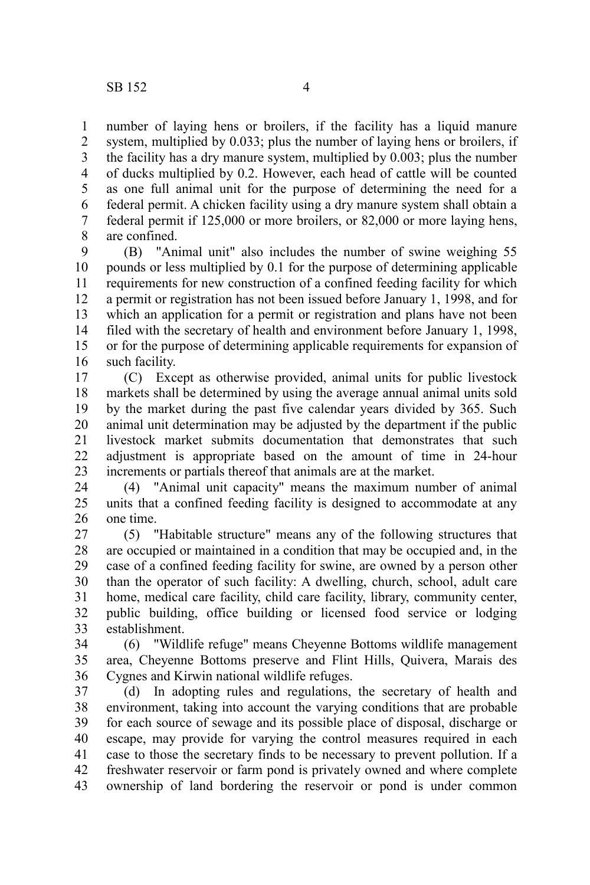number of laying hens or broilers, if the facility has a liquid manure system, multiplied by 0.033; plus the number of laying hens or broilers, if the facility has a dry manure system, multiplied by 0.003; plus the number of ducks multiplied by 0.2. However, each head of cattle will be counted as one full animal unit for the purpose of determining the need for a federal permit. A chicken facility using a dry manure system shall obtain a federal permit if 125,000 or more broilers, or 82,000 or more laying hens, are confined. 1 2 3 4 5 6 7 8

(B) "Animal unit" also includes the number of swine weighing 55 pounds or less multiplied by 0.1 for the purpose of determining applicable requirements for new construction of a confined feeding facility for which a permit or registration has not been issued before January 1, 1998, and for which an application for a permit or registration and plans have not been filed with the secretary of health and environment before January 1, 1998, or for the purpose of determining applicable requirements for expansion of such facility. 9 10 11 12 13 14 15 16

(C) Except as otherwise provided, animal units for public livestock markets shall be determined by using the average annual animal units sold by the market during the past five calendar years divided by 365. Such animal unit determination may be adjusted by the department if the public livestock market submits documentation that demonstrates that such adjustment is appropriate based on the amount of time in 24-hour increments or partials thereof that animals are at the market. 17 18 19 20 21 22 23

(4) "Animal unit capacity" means the maximum number of animal units that a confined feeding facility is designed to accommodate at any one time. 24 25 26

(5) "Habitable structure" means any of the following structures that are occupied or maintained in a condition that may be occupied and, in the case of a confined feeding facility for swine, are owned by a person other than the operator of such facility: A dwelling, church, school, adult care home, medical care facility, child care facility, library, community center, public building, office building or licensed food service or lodging establishment. 27 28 29 30 31 32 33

(6) "Wildlife refuge" means Cheyenne Bottoms wildlife management area, Cheyenne Bottoms preserve and Flint Hills, Quivera, Marais des Cygnes and Kirwin national wildlife refuges. 34 35 36

(d) In adopting rules and regulations, the secretary of health and environment, taking into account the varying conditions that are probable for each source of sewage and its possible place of disposal, discharge or escape, may provide for varying the control measures required in each case to those the secretary finds to be necessary to prevent pollution. If a freshwater reservoir or farm pond is privately owned and where complete ownership of land bordering the reservoir or pond is under common 37 38 39 40 41 42 43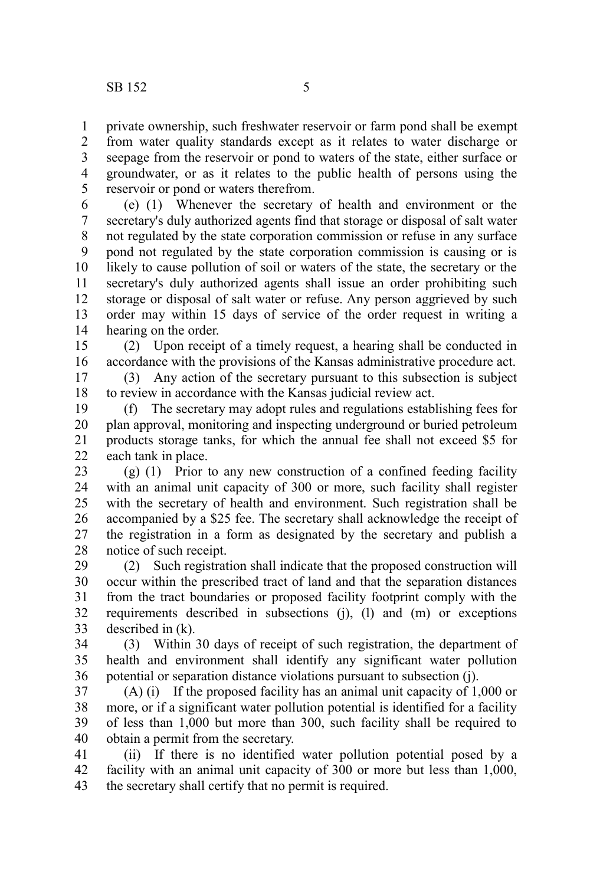private ownership, such freshwater reservoir or farm pond shall be exempt from water quality standards except as it relates to water discharge or seepage from the reservoir or pond to waters of the state, either surface or groundwater, or as it relates to the public health of persons using the reservoir or pond or waters therefrom. 1 2 3 4 5

(e) (1) Whenever the secretary of health and environment or the secretary's duly authorized agents find that storage or disposal of salt water not regulated by the state corporation commission or refuse in any surface pond not regulated by the state corporation commission is causing or is likely to cause pollution of soil or waters of the state, the secretary or the secretary's duly authorized agents shall issue an order prohibiting such storage or disposal of salt water or refuse. Any person aggrieved by such order may within 15 days of service of the order request in writing a hearing on the order. 6 7 8 9 10 11 12 13 14

(2) Upon receipt of a timely request, a hearing shall be conducted in accordance with the provisions of the Kansas administrative procedure act. 15 16

(3) Any action of the secretary pursuant to this subsection is subject to review in accordance with the Kansas judicial review act. 17 18

(f) The secretary may adopt rules and regulations establishing fees for plan approval, monitoring and inspecting underground or buried petroleum products storage tanks, for which the annual fee shall not exceed \$5 for each tank in place. 19 20 21 22

(g) (1) Prior to any new construction of a confined feeding facility with an animal unit capacity of 300 or more, such facility shall register with the secretary of health and environment. Such registration shall be accompanied by a \$25 fee. The secretary shall acknowledge the receipt of the registration in a form as designated by the secretary and publish a notice of such receipt. 23 24 25 26 27 28

(2) Such registration shall indicate that the proposed construction will occur within the prescribed tract of land and that the separation distances from the tract boundaries or proposed facility footprint comply with the requirements described in subsections (j), (l) and (m) or exceptions described in (k). 29 30 31 32 33

(3) Within 30 days of receipt of such registration, the department of health and environment shall identify any significant water pollution potential or separation distance violations pursuant to subsection (j). 34 35 36

(A) (i) If the proposed facility has an animal unit capacity of 1,000 or more, or if a significant water pollution potential is identified for a facility of less than 1,000 but more than 300, such facility shall be required to obtain a permit from the secretary. 37 38 39 40

(ii) If there is no identified water pollution potential posed by a facility with an animal unit capacity of 300 or more but less than 1,000, the secretary shall certify that no permit is required. 41 42 43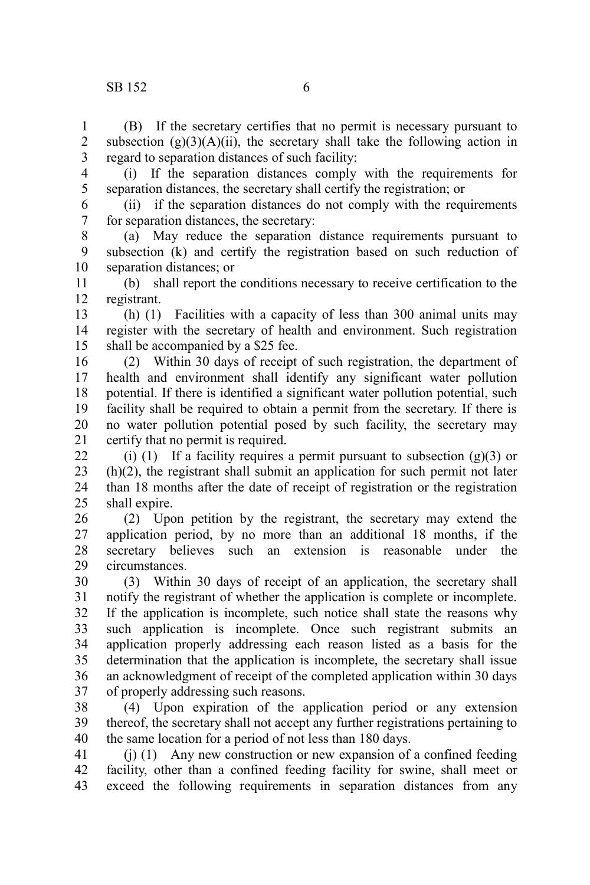1 2

(B) If the secretary certifies that no permit is necessary pursuant to subsection  $(g)(3)(A)(ii)$ , the secretary shall take the following action in

regard to separation distances of such facility: 3

(i) If the separation distances comply with the requirements for separation distances, the secretary shall certify the registration; or 4 5

(ii) if the separation distances do not comply with the requirements for separation distances, the secretary: 6 7

(a) May reduce the separation distance requirements pursuant to subsection (k) and certify the registration based on such reduction of separation distances; or 8 9 10

(b) shall report the conditions necessary to receive certification to the registrant. 11 12

(h) (1) Facilities with a capacity of less than 300 animal units may register with the secretary of health and environment. Such registration shall be accompanied by a \$25 fee. 13 14 15

(2) Within 30 days of receipt of such registration, the department of health and environment shall identify any significant water pollution potential. If there is identified a significant water pollution potential, such facility shall be required to obtain a permit from the secretary. If there is no water pollution potential posed by such facility, the secretary may certify that no permit is required. 16 17 18 19 20 21

(i) (1) If a facility requires a permit pursuant to subsection  $(g)(3)$  or (h)(2), the registrant shall submit an application for such permit not later than 18 months after the date of receipt of registration or the registration shall expire.  $22$ 23 24 25

(2) Upon petition by the registrant, the secretary may extend the application period, by no more than an additional 18 months, if the secretary believes such an extension is reasonable under the circumstances. 26 27 28 29

(3) Within 30 days of receipt of an application, the secretary shall notify the registrant of whether the application is complete or incomplete. If the application is incomplete, such notice shall state the reasons why such application is incomplete. Once such registrant submits an application properly addressing each reason listed as a basis for the determination that the application is incomplete, the secretary shall issue an acknowledgment of receipt of the completed application within 30 days of properly addressing such reasons. 30 31 32 33 34 35 36 37

(4) Upon expiration of the application period or any extension thereof, the secretary shall not accept any further registrations pertaining to the same location for a period of not less than 180 days. 38 39 40

(j) (1) Any new construction or new expansion of a confined feeding facility, other than a confined feeding facility for swine, shall meet or exceed the following requirements in separation distances from any 41 42 43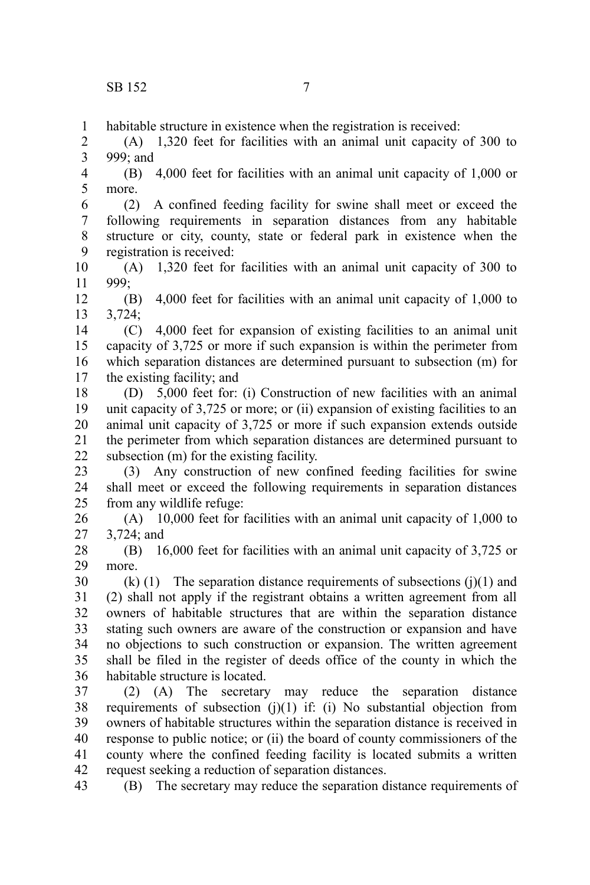habitable structure in existence when the registration is received: 1

(A) 1,320 feet for facilities with an animal unit capacity of 300 to 999; and 2 3

(B) 4,000 feet for facilities with an animal unit capacity of 1,000 or more. 4 5

(2) A confined feeding facility for swine shall meet or exceed the following requirements in separation distances from any habitable structure or city, county, state or federal park in existence when the registration is received: 6 7 8 9

(A) 1,320 feet for facilities with an animal unit capacity of 300 to 999; 10 11

(B) 4,000 feet for facilities with an animal unit capacity of 1,000 to 3,724; 12 13

(C) 4,000 feet for expansion of existing facilities to an animal unit capacity of 3,725 or more if such expansion is within the perimeter from which separation distances are determined pursuant to subsection (m) for the existing facility; and 14 15 16 17

(D) 5,000 feet for: (i) Construction of new facilities with an animal unit capacity of 3,725 or more; or (ii) expansion of existing facilities to an animal unit capacity of 3,725 or more if such expansion extends outside the perimeter from which separation distances are determined pursuant to subsection (m) for the existing facility. 18 19 20 21 22

(3) Any construction of new confined feeding facilities for swine shall meet or exceed the following requirements in separation distances from any wildlife refuge: 23 24 25

(A) 10,000 feet for facilities with an animal unit capacity of 1,000 to 3,724; and 26 27

(B) 16,000 feet for facilities with an animal unit capacity of 3,725 or more. 28 29

 $(k)$  (1) The separation distance requirements of subsections (j)(1) and (2) shall not apply if the registrant obtains a written agreement from all owners of habitable structures that are within the separation distance stating such owners are aware of the construction or expansion and have no objections to such construction or expansion. The written agreement shall be filed in the register of deeds office of the county in which the habitable structure is located. 30 31 32 33 34 35 36

(2) (A) The secretary may reduce the separation distance requirements of subsection  $(i)(1)$  if:  $(i)$  No substantial objection from owners of habitable structures within the separation distance is received in response to public notice; or (ii) the board of county commissioners of the county where the confined feeding facility is located submits a written request seeking a reduction of separation distances. 37 38 39 40 41 42

(B) The secretary may reduce the separation distance requirements of 43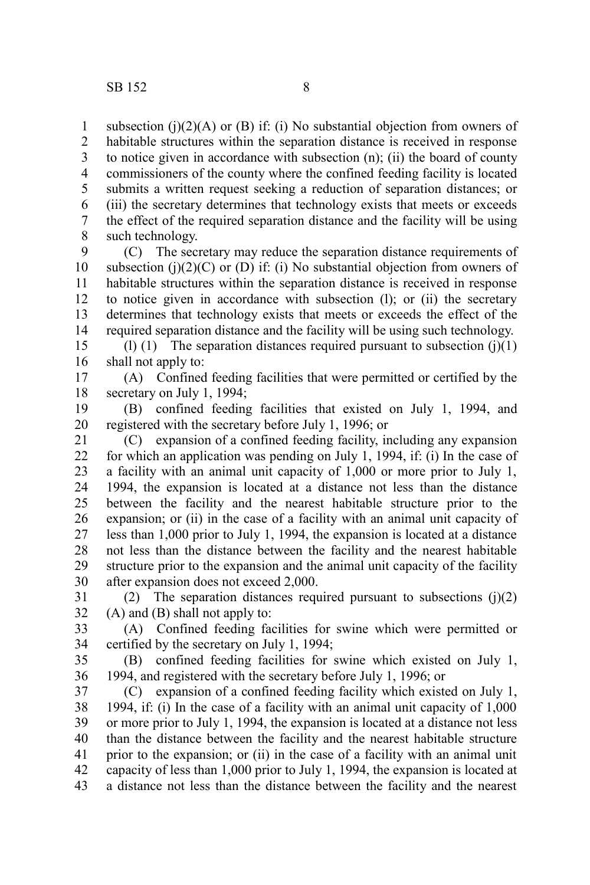subsection (j) $(2)(A)$  or (B) if: (i) No substantial objection from owners of habitable structures within the separation distance is received in response to notice given in accordance with subsection (n); (ii) the board of county commissioners of the county where the confined feeding facility is located submits a written request seeking a reduction of separation distances; or (iii) the secretary determines that technology exists that meets or exceeds the effect of the required separation distance and the facility will be using such technology. 1 2 3 4 5 6 7 8

(C) The secretary may reduce the separation distance requirements of subsection (j)(2)(C) or (D) if: (i) No substantial objection from owners of habitable structures within the separation distance is received in response to notice given in accordance with subsection (l); or (ii) the secretary determines that technology exists that meets or exceeds the effect of the required separation distance and the facility will be using such technology. 9 10 11 12 13 14

(l) (1) The separation distances required pursuant to subsection  $(j)(1)$ shall not apply to: 15 16

(A) Confined feeding facilities that were permitted or certified by the secretary on July 1, 1994; 17 18

(B) confined feeding facilities that existed on July 1, 1994, and registered with the secretary before July 1, 1996; or 19 20

(C) expansion of a confined feeding facility, including any expansion for which an application was pending on July 1, 1994, if: (i) In the case of a facility with an animal unit capacity of 1,000 or more prior to July 1, 1994, the expansion is located at a distance not less than the distance between the facility and the nearest habitable structure prior to the expansion; or (ii) in the case of a facility with an animal unit capacity of less than 1,000 prior to July 1, 1994, the expansion is located at a distance not less than the distance between the facility and the nearest habitable structure prior to the expansion and the animal unit capacity of the facility after expansion does not exceed 2,000. 21 22 23 24 25 26 27 28 29 30

(2) The separation distances required pursuant to subsections  $(i)(2)$ (A) and (B) shall not apply to: 31 32

(A) Confined feeding facilities for swine which were permitted or certified by the secretary on July 1, 1994; 33 34

(B) confined feeding facilities for swine which existed on July 1, 1994, and registered with the secretary before July 1, 1996; or 35 36

(C) expansion of a confined feeding facility which existed on July 1, 1994, if: (i) In the case of a facility with an animal unit capacity of 1,000 or more prior to July 1, 1994, the expansion is located at a distance not less than the distance between the facility and the nearest habitable structure prior to the expansion; or (ii) in the case of a facility with an animal unit capacity of less than 1,000 prior to July 1, 1994, the expansion is located at a distance not less than the distance between the facility and the nearest 37 38 39 40 41 42 43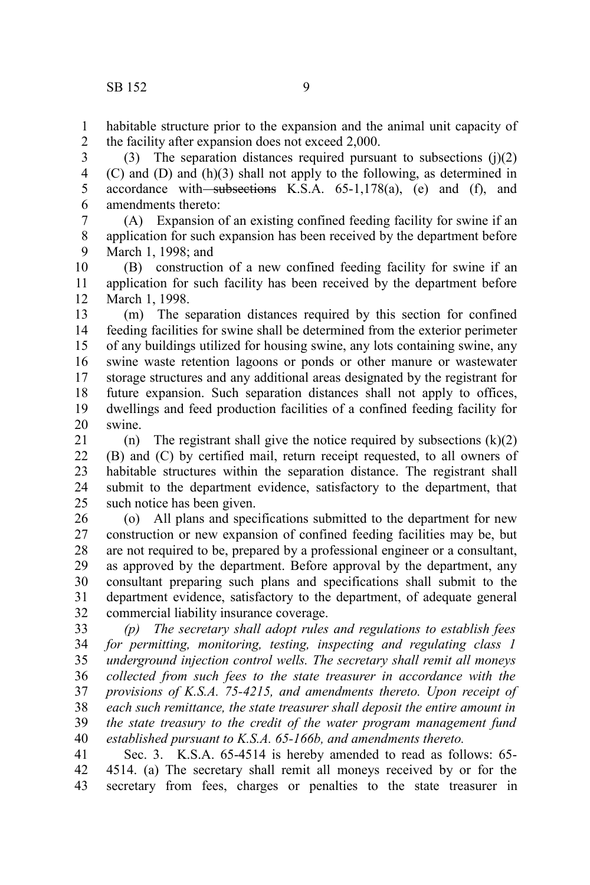habitable structure prior to the expansion and the animal unit capacity of the facility after expansion does not exceed 2,000. 1 2

(3) The separation distances required pursuant to subsections  $(i)(2)$ (C) and (D) and (h)(3) shall not apply to the following, as determined in accordance with subsections K.S.A.  $65-1,178(a)$ , (e) and (f), and amendments thereto: 3 4 5 6

(A) Expansion of an existing confined feeding facility for swine if an application for such expansion has been received by the department before March 1, 1998; and 7 8 9

(B) construction of a new confined feeding facility for swine if an application for such facility has been received by the department before March 1, 1998. 10 11 12

(m) The separation distances required by this section for confined feeding facilities for swine shall be determined from the exterior perimeter of any buildings utilized for housing swine, any lots containing swine, any swine waste retention lagoons or ponds or other manure or wastewater storage structures and any additional areas designated by the registrant for future expansion. Such separation distances shall not apply to offices, dwellings and feed production facilities of a confined feeding facility for swine. 13 14 15 16 17 18 19 20

(n) The registrant shall give the notice required by subsections  $(k)(2)$ (B) and (C) by certified mail, return receipt requested, to all owners of habitable structures within the separation distance. The registrant shall submit to the department evidence, satisfactory to the department, that such notice has been given. 21 22 23 24 25

(o) All plans and specifications submitted to the department for new construction or new expansion of confined feeding facilities may be, but are not required to be, prepared by a professional engineer or a consultant, as approved by the department. Before approval by the department, any consultant preparing such plans and specifications shall submit to the department evidence, satisfactory to the department, of adequate general commercial liability insurance coverage. 26 27 28 29 30 31 32

*(p) The secretary shall adopt rules and regulations to establish fees for permitting, monitoring, testing, inspecting and regulating class 1 underground injection control wells. The secretary shall remit all moneys collected from such fees to the state treasurer in accordance with the provisions of K.S.A. 75-4215, and amendments thereto. Upon receipt of each such remittance, the state treasurer shall deposit the entire amount in the state treasury to the credit of the water program management fund established pursuant to K.S.A. 65-166b, and amendments thereto.* 33 34 35 36 37 38 39 40

Sec. 3. K.S.A. 65-4514 is hereby amended to read as follows: 65- 4514. (a) The secretary shall remit all moneys received by or for the secretary from fees, charges or penalties to the state treasurer in 41 42 43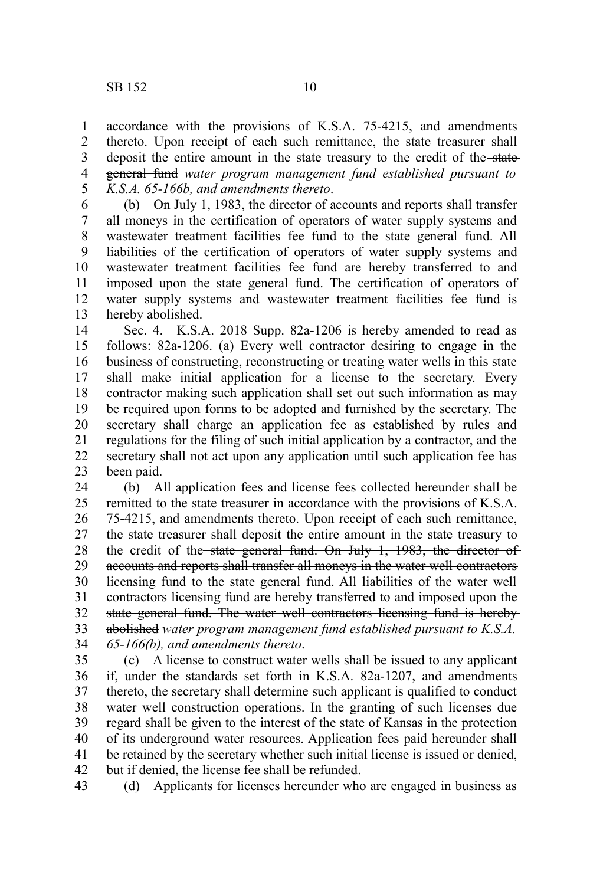accordance with the provisions of K.S.A. 75-4215, and amendments thereto. Upon receipt of each such remittance, the state treasurer shall deposit the entire amount in the state treasury to the credit of the state general fund *water program management fund established pursuant to K.S.A. 65-166b, and amendments thereto*. 1 2 3 4 5

(b) On July 1, 1983, the director of accounts and reports shall transfer all moneys in the certification of operators of water supply systems and wastewater treatment facilities fee fund to the state general fund. All liabilities of the certification of operators of water supply systems and wastewater treatment facilities fee fund are hereby transferred to and imposed upon the state general fund. The certification of operators of water supply systems and wastewater treatment facilities fee fund is hereby abolished. 6 7 8 9 10 11 12 13

Sec. 4. K.S.A. 2018 Supp. 82a-1206 is hereby amended to read as follows: 82a-1206. (a) Every well contractor desiring to engage in the business of constructing, reconstructing or treating water wells in this state shall make initial application for a license to the secretary. Every contractor making such application shall set out such information as may be required upon forms to be adopted and furnished by the secretary. The secretary shall charge an application fee as established by rules and regulations for the filing of such initial application by a contractor, and the secretary shall not act upon any application until such application fee has been paid. 14 15 16 17 18 19 20 21 22 23

(b) All application fees and license fees collected hereunder shall be remitted to the state treasurer in accordance with the provisions of K.S.A. 75-4215, and amendments thereto. Upon receipt of each such remittance, the state treasurer shall deposit the entire amount in the state treasury to the credit of the state general fund. On July 1, 1983, the director of accounts and reports shall transfer all moneys in the water well contractors licensing fund to the state general fund. All liabilities of the water well contractors licensing fund are hereby transferred to and imposed upon the state general fund. The water well contractors licensing fund is hereby abolished *water program management fund established pursuant to K.S.A. 65-166(b), and amendments thereto*. 24 25 26 27 28 29 30 31 32 33 34

(c) A license to construct water wells shall be issued to any applicant if, under the standards set forth in K.S.A. 82a-1207, and amendments thereto, the secretary shall determine such applicant is qualified to conduct water well construction operations. In the granting of such licenses due regard shall be given to the interest of the state of Kansas in the protection of its underground water resources. Application fees paid hereunder shall be retained by the secretary whether such initial license is issued or denied, but if denied, the license fee shall be refunded. 35 36 37 38 39 40 41 42

(d) Applicants for licenses hereunder who are engaged in business as 43